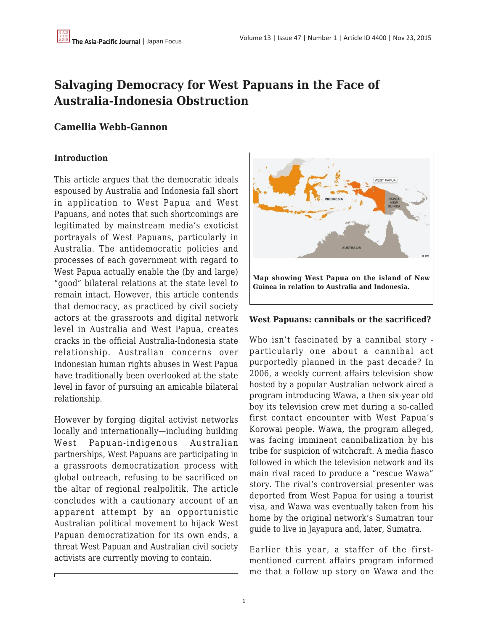# **Salvaging Democracy for West Papuans in the Face of Australia-Indonesia Obstruction**

# **Camellia Webb-Gannon**

## **Introduction**

This article argues that the democratic ideals espoused by Australia and Indonesia fall short in application to West Papua and West Papuans, and notes that such shortcomings are legitimated by mainstream media's exoticist portrayals of West Papuans, particularly in Australia. The antidemocratic policies and processes of each government with regard to West Papua actually enable the (by and large) "good" bilateral relations at the state level to remain intact. However, this article contends that democracy, as practiced by civil society actors at the grassroots and digital network level in Australia and West Papua, creates cracks in the official Australia-Indonesia state relationship. Australian concerns over Indonesian human rights abuses in West Papua have traditionally been overlooked at the state level in favor of pursuing an amicable bilateral relationship.

However by forging digital activist networks locally and internationally—including building West Papuan-indigenous Australian partnerships, West Papuans are participating in a grassroots democratization process with global outreach, refusing to be sacrificed on the altar of regional realpolitik. The article concludes with a cautionary account of an apparent attempt by an opportunistic Australian political movement to hijack West Papuan democratization for its own ends, a threat West Papuan and Australian civil society activists are currently moving to contain.



#### **West Papuans: cannibals or the sacrificed?**

Who isn't fascinated by a cannibal story particularly one about a cannibal act purportedly planned in the past decade? In 2006, a weekly current affairs television show hosted by a popular Australian network aired a program introducing Wawa, a then six-year old boy its television crew met during a so-called first contact encounter with West Papua's Korowai people. Wawa, the program alleged, was facing imminent cannibalization by his tribe for suspicion of witchcraft. A media fiasco followed in which the television network and its main rival raced to produce a "rescue Wawa" story. The rival's controversial presenter was deported from West Papua for using a tourist visa, and Wawa was eventually taken from his home by the original network's Sumatran tour guide to live in Jayapura and, later, Sumatra.

Earlier this year, a staffer of the firstmentioned current affairs program informed me that a follow up story on Wawa and the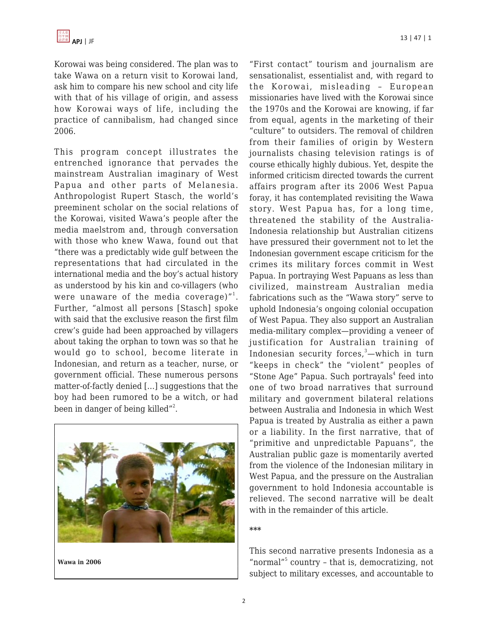Korowai was being considered. The plan was to take Wawa on a return visit to Korowai land, ask him to compare his new school and city life with that of his village of origin, and assess how Korowai ways of life, including the practice of cannibalism, had changed since 2006.

This program concept illustrates the entrenched ignorance that pervades the mainstream Australian imaginary of West Papua and other parts of Melanesia. Anthropologist Rupert Stasch, the world's preeminent scholar on the social relations of the Korowai, visited Wawa's people after the media maelstrom and, through conversation with those who knew Wawa, found out that "there was a predictably wide gulf between the representations that had circulated in the international media and the boy's actual history as understood by his kin and co-villagers (who were unaware of the media coverage) $^{\prime\prime}{}^{1}.$ Further, "almost all persons [Stasch] spoke with said that the exclusive reason the first film crew's guide had been approached by villagers about taking the orphan to town was so that he would go to school, become literate in Indonesian, and return as a teacher, nurse, or government official. These numerous persons matter-of-factly denied […] suggestions that the boy had been rumored to be a witch, or had been in danger of being killed"<sup>2</sup>.



**Wawa in 2006**

"First contact" tourism and journalism are sensationalist, essentialist and, with regard to the Korowai, misleading – European missionaries have lived with the Korowai since the 1970s and the Korowai are knowing, if far from equal, agents in the marketing of their "culture" to outsiders. The removal of children from their families of origin by Western journalists chasing television ratings is of course ethically highly dubious. Yet, despite the informed criticism directed towards the current affairs program after its 2006 West Papua foray, it has contemplated revisiting the Wawa story. West Papua has, for a long time, threatened the stability of the Australia-Indonesia relationship but Australian citizens have pressured their government not to let the Indonesian government escape criticism for the crimes its military forces commit in West Papua. In portraying West Papuans as less than civilized, mainstream Australian media fabrications such as the "Wawa story" serve to uphold Indonesia's ongoing colonial occupation of West Papua. They also support an Australian media-military complex—providing a veneer of justification for Australian training of Indonesian security forces, $3$ —which in turn "keeps in check" the "violent" peoples of "Stone Age" Papua. Such portrayals<sup>4</sup> feed into one of two broad narratives that surround military and government bilateral relations between Australia and Indonesia in which West Papua is treated by Australia as either a pawn or a liability. In the first narrative, that of "primitive and unpredictable Papuans", the Australian public gaze is momentarily averted from the violence of the Indonesian military in West Papua, and the pressure on the Australian government to hold Indonesia accountable is relieved. The second narrative will be dealt with in the remainder of this article.

#### **\*\*\***

This second narrative presents Indonesia as a "normal"<sup>5</sup> country - that is, democratizing, not subject to military excesses, and accountable to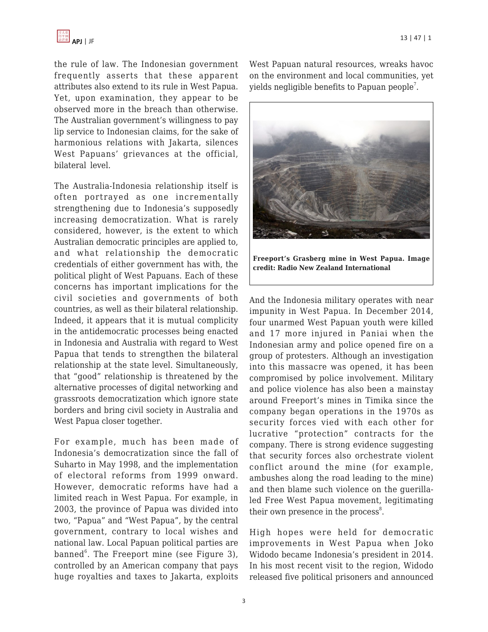

the rule of law. The Indonesian government frequently asserts that these apparent attributes also extend to its rule in West Papua. Yet, upon examination, they appear to be observed more in the breach than otherwise. The Australian government's willingness to pay lip service to Indonesian claims, for the sake of harmonious relations with Jakarta, silences West Papuans' grievances at the official, bilateral level.

The Australia-Indonesia relationship itself is often portrayed as one incrementally strengthening due to Indonesia's supposedly increasing democratization. What is rarely considered, however, is the extent to which Australian democratic principles are applied to, and what relationship the democratic credentials of either government has with, the political plight of West Papuans. Each of these concerns has important implications for the civil societies and governments of both countries, as well as their bilateral relationship. Indeed, it appears that it is mutual complicity in the antidemocratic processes being enacted in Indonesia and Australia with regard to West Papua that tends to strengthen the bilateral relationship at the state level. Simultaneously, that "good" relationship is threatened by the alternative processes of digital networking and grassroots democratization which ignore state borders and bring civil society in Australia and West Papua closer together.

For example, much has been made of Indonesia's democratization since the fall of Suharto in May 1998, and the implementation of electoral reforms from 1999 onward. However, democratic reforms have had a limited reach in West Papua. For example, in 2003, the province of Papua was divided into two, "Papua" and "West Papua", by the central government, contrary to local wishes and national law. Local Papuan political parties are banned $^6$ . The Freeport mine (see Figure 3), controlled by an American company that pays huge royalties and taxes to Jakarta, exploits West Papuan natural resources, wreaks havoc on the environment and local communities, yet yields negligible benefits to Papuan people $^7\!$ .



**Freeport's Grasberg mine in West Papua. Image credit: Radio New Zealand International**

And the Indonesia military operates with near impunity in West Papua. In December 2014, four unarmed West Papuan youth were killed and 17 more injured in Paniai when the Indonesian army and police opened fire on a group of protesters. Although an investigation into this massacre was opened, it has been compromised by police involvement. Military and police violence has also been a mainstay around Freeport's mines in Timika since the company began operations in the 1970s as security forces vied with each other for lucrative "protection" contracts for the company. There is strong evidence suggesting that security forces also orchestrate violent conflict around the mine (for example, ambushes along the road leading to the mine) and then blame such violence on the guerillaled Free West Papua movement, legitimating their own presence in the process<sup>8</sup>.

High hopes were held for democratic improvements in West Papua when Joko Widodo became Indonesia's president in 2014. In his most recent visit to the region, Widodo released five political prisoners and announced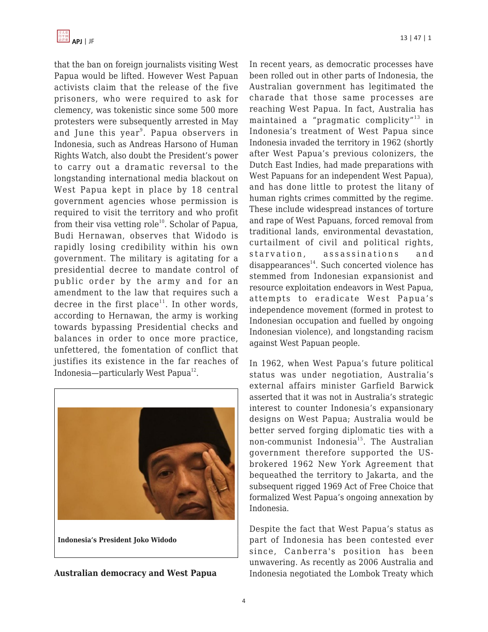that the ban on foreign journalists visiting West Papua would be lifted. However West Papuan activists claim that the release of the five prisoners, who were required to ask for clemency, was tokenistic since some 500 more protesters were subsequently arrested in May and June this year<sup>9</sup>. Papua observers in Indonesia, such as Andreas Harsono of Human Rights Watch, also doubt the President's power to carry out a dramatic reversal to the longstanding international media blackout on West Papua kept in place by 18 central government agencies whose permission is required to visit the territory and who profit from their visa vetting role<sup>10</sup>. Scholar of Papua, Budi Hernawan, observes that Widodo is rapidly losing credibility within his own government. The military is agitating for a presidential decree to mandate control of public order by the army and for an amendment to the law that requires such a decree in the first place<sup>11</sup>. In other words, according to Hernawan, the army is working towards bypassing Presidential checks and balances in order to once more practice, unfettered, the fomentation of conflict that justifies its existence in the far reaches of Indonesia—particularly West Papua<sup>12</sup>.



**Indonesia's President Joko Widodo**

**Australian democracy and West Papua**

In recent years, as democratic processes have been rolled out in other parts of Indonesia, the Australian government has legitimated the charade that those same processes are reaching West Papua. In fact, Australia has maintained a "pragmatic complicity"<sup>13</sup> in Indonesia's treatment of West Papua since Indonesia invaded the territory in 1962 (shortly after West Papua's previous colonizers, the Dutch East Indies, had made preparations with West Papuans for an independent West Papua), and has done little to protest the litany of human rights crimes committed by the regime. These include widespread instances of torture and rape of West Papuans, forced removal from traditional lands, environmental devastation, curtailment of civil and political rights, starvation, assassinations and  $disappearances<sup>14</sup>$ . Such concerted violence has stemmed from Indonesian expansionist and resource exploitation endeavors in West Papua, attempts to eradicate West Papua's independence movement (formed in protest to Indonesian occupation and fuelled by ongoing Indonesian violence), and longstanding racism against West Papuan people.

In 1962, when West Papua's future political status was under negotiation, Australia's external affairs minister Garfield Barwick asserted that it was not in Australia's strategic interest to counter Indonesia's expansionary designs on West Papua; Australia would be better served forging diplomatic ties with a non-communist Indonesia<sup>15</sup>. The Australian government therefore supported the USbrokered 1962 New York Agreement that bequeathed the territory to Jakarta, and the subsequent rigged 1969 Act of Free Choice that formalized West Papua's ongoing annexation by Indonesia.

Despite the fact that West Papua's status as part of Indonesia has been contested ever since, Canberra's position has been unwavering. As recently as 2006 Australia and Indonesia negotiated the Lombok Treaty which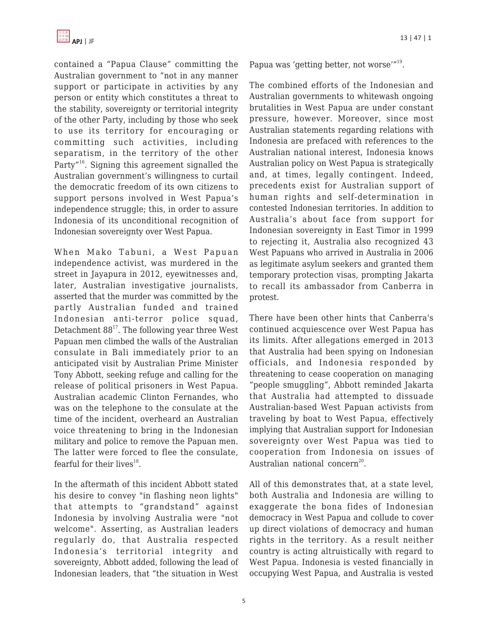contained a "Papua Clause" committing the Australian government to "not in any manner support or participate in activities by any person or entity which constitutes a threat to the stability, sovereignty or territorial integrity of the other Party, including by those who seek to use its territory for encouraging or committing such activities, including separatism, in the territory of the other Party"<sup>16</sup>. Signing this agreement signalled the Australian government's willingness to curtail the democratic freedom of its own citizens to support persons involved in West Papua's independence struggle; this, in order to assure Indonesia of its unconditional recognition of Indonesian sovereignty over West Papua.

When Mako Tabuni, a West Papuan independence activist, was murdered in the street in Jayapura in 2012, eyewitnesses and, later, Australian investigative journalists, asserted that the murder was committed by the partly Australian funded and trained Indonesian anti-terror police squad, Detachment  $88^{17}$ . The following year three West Papuan men climbed the walls of the Australian consulate in Bali immediately prior to an anticipated visit by Australian Prime Minister Tony Abbott, seeking refuge and calling for the release of political prisoners in West Papua. Australian academic Clinton Fernandes, who was on the telephone to the consulate at the time of the incident, overheard an Australian voice threatening to bring in the Indonesian military and police to remove the Papuan men. The latter were forced to flee the consulate, fearful for their lives $^{18}$ .

In the aftermath of this incident Abbott stated his desire to convey "in flashing neon lights" that attempts to "grandstand" against Indonesia by involving Australia were "not welcome". Asserting, as Australian leaders regularly do, that Australia respected Indonesia's territorial integrity and sovereignty, Abbott added, following the lead of Indonesian leaders, that "the situation in West Papua was 'getting better, not worse'"<sup>19</sup>.

The combined efforts of the Indonesian and Australian governments to whitewash ongoing brutalities in West Papua are under constant pressure, however. Moreover, since most Australian statements regarding relations with Indonesia are prefaced with references to the Australian national interest, Indonesia knows Australian policy on West Papua is strategically and, at times, legally contingent. Indeed, precedents exist for Australian support of human rights and self-determination in contested Indonesian territories. In addition to Australia's about face from support for Indonesian sovereignty in East Timor in 1999 to rejecting it, Australia also recognized 43 West Papuans who arrived in Australia in 2006 as legitimate asylum seekers and granted them temporary protection visas, prompting Jakarta to recall its ambassador from Canberra in protest.

There have been other hints that Canberra's continued acquiescence over West Papua has its limits. After allegations emerged in 2013 that Australia had been spying on Indonesian officials, and Indonesia responded by threatening to cease cooperation on managing "people smuggling", Abbott reminded Jakarta that Australia had attempted to dissuade Australian-based West Papuan activists from traveling by boat to West Papua, effectively implying that Australian support for Indonesian sovereignty over West Papua was tied to cooperation from Indonesia on issues of Australian national concern<sup>20</sup>.

All of this demonstrates that, at a state level, both Australia and Indonesia are willing to exaggerate the bona fides of Indonesian democracy in West Papua and collude to cover up direct violations of democracy and human rights in the territory. As a result neither country is acting altruistically with regard to West Papua. Indonesia is vested financially in occupying West Papua, and Australia is vested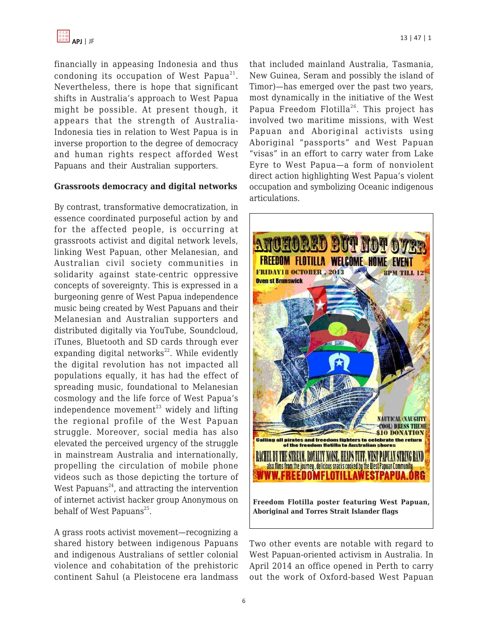financially in appeasing Indonesia and thus condoning its occupation of West Papua<sup>21</sup>. Nevertheless, there is hope that significant shifts in Australia's approach to West Papua might be possible. At present though, it appears that the strength of Australia-Indonesia ties in relation to West Papua is in inverse proportion to the degree of democracy and human rights respect afforded West Papuans and their Australian supporters.

#### **Grassroots democracy and digital networks**

By contrast, transformative democratization, in essence coordinated purposeful action by and for the affected people, is occurring at grassroots activist and digital network levels, linking West Papuan, other Melanesian, and Australian civil society communities in solidarity against state-centric oppressive concepts of sovereignty. This is expressed in a burgeoning genre of West Papua independence music being created by West Papuans and their Melanesian and Australian supporters and distributed digitally via YouTube, Soundcloud, iTunes, Bluetooth and SD cards through ever expanding digital networks $^{22}$ . While evidently the digital revolution has not impacted all populations equally, it has had the effect of spreading music, foundational to Melanesian cosmology and the life force of West Papua's independence movement $^{23}$  widely and lifting the regional profile of the West Papuan struggle. Moreover, social media has also elevated the perceived urgency of the struggle in mainstream Australia and internationally, propelling the circulation of mobile phone videos such as those depicting the torture of West Papuans<sup>24</sup>, and attracting the intervention of internet activist hacker group Anonymous on behalf of West Papuans<sup>25</sup>.

A grass roots activist movement—recognizing a shared history between indigenous Papuans and indigenous Australians of settler colonial violence and cohabitation of the prehistoric continent Sahul (a Pleistocene era landmass that included mainland Australia, Tasmania, New Guinea, Seram and possibly the island of Timor)—has emerged over the past two years, most dynamically in the initiative of the West Papua Freedom Flotilla<sup>26</sup>. This project has involved two maritime missions, with West Papuan and Aboriginal activists using Aboriginal "passports" and West Papuan "visas" in an effort to carry water from Lake Eyre to West Papua—a form of nonviolent direct action highlighting West Papua's violent occupation and symbolizing Oceanic indigenous articulations.



Two other events are notable with regard to West Papuan-oriented activism in Australia. In April 2014 an office opened in Perth to carry out the work of Oxford-based West Papuan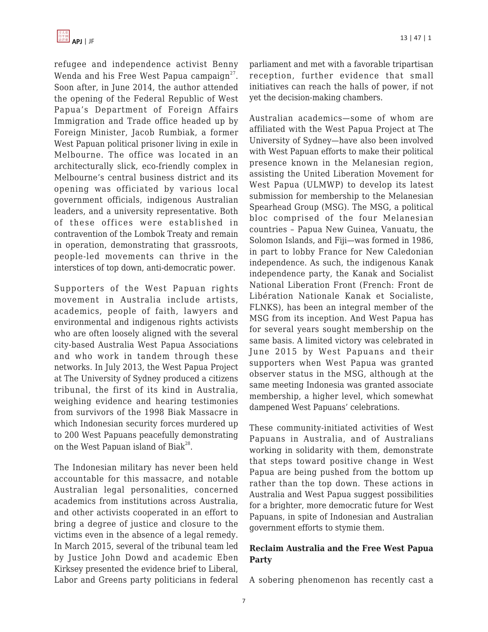

refugee and independence activist Benny Wenda and his Free West Papua campaign $^{27}$ . Soon after, in June 2014, the author attended the opening of the Federal Republic of West Papua's Department of Foreign Affairs Immigration and Trade office headed up by Foreign Minister, Jacob Rumbiak, a former West Papuan political prisoner living in exile in Melbourne. The office was located in an architecturally slick, eco-friendly complex in Melbourne's central business district and its opening was officiated by various local government officials, indigenous Australian leaders, and a university representative. Both of these offices were established in contravention of the Lombok Treaty and remain in operation, demonstrating that grassroots, people-led movements can thrive in the interstices of top down, anti-democratic power.

Supporters of the West Papuan rights movement in Australia include artists, academics, people of faith, lawyers and environmental and indigenous rights activists who are often loosely aligned with the several city-based Australia West Papua Associations and who work in tandem through these networks. In July 2013, the West Papua Project at The University of Sydney produced a citizens tribunal, the first of its kind in Australia, weighing evidence and hearing testimonies from survivors of the 1998 Biak Massacre in which Indonesian security forces murdered up to 200 West Papuans peacefully demonstrating on the West Papuan island of Biak<sup>28</sup>.

The Indonesian military has never been held accountable for this massacre, and notable Australian legal personalities, concerned academics from institutions across Australia, and other activists cooperated in an effort to bring a degree of justice and closure to the victims even in the absence of a legal remedy. In March 2015, several of the tribunal team led by Justice John Dowd and academic Eben Kirksey presented the evidence brief to Liberal, Labor and Greens party politicians in federal parliament and met with a favorable tripartisan reception, further evidence that small initiatives can reach the halls of power, if not yet the decision-making chambers.

Australian academics—some of whom are affiliated with the West Papua Project at The University of Sydney—have also been involved with West Papuan efforts to make their political presence known in the Melanesian region, assisting the United Liberation Movement for West Papua (ULMWP) to develop its latest submission for membership to the Melanesian Spearhead Group (MSG). The MSG, a political bloc comprised of the four Melanesian countries – Papua New Guinea, Vanuatu, the Solomon Islands, and Fiji—was formed in 1986, in part to lobby France for New Caledonian independence. As such, the indigenous Kanak independence party, the Kanak and Socialist National Liberation Front (French: Front de Libération Nationale Kanak et Socialiste, FLNKS), has been an integral member of the MSG from its inception. And West Papua has for several years sought membership on the same basis. A limited victory was celebrated in June 2015 by West Papuans and their supporters when West Papua was granted observer status in the MSG, although at the same meeting Indonesia was granted associate membership, a higher level, which somewhat dampened West Papuans' celebrations.

These community-initiated activities of West Papuans in Australia, and of Australians working in solidarity with them, demonstrate that steps toward positive change in West Papua are being pushed from the bottom up rather than the top down. These actions in Australia and West Papua suggest possibilities for a brighter, more democratic future for West Papuans, in spite of Indonesian and Australian government efforts to stymie them.

### **Reclaim Australia and the Free West Papua Party**

A sobering phenomenon has recently cast a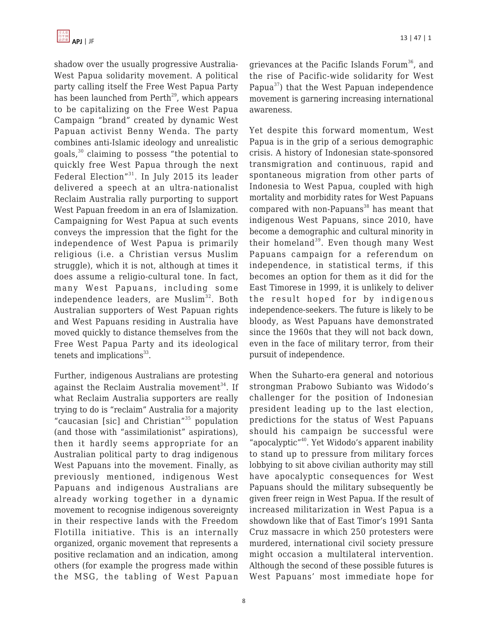shadow over the usually progressive Australia-West Papua solidarity movement. A political party calling itself the Free West Papua Party has been launched from  $Perth<sup>29</sup>$ , which appears to be capitalizing on the Free West Papua Campaign "brand" created by dynamic West Papuan activist Benny Wenda. The party combines anti-Islamic ideology and unrealistic goals, $30$  claiming to possess "the potential to quickly free West Papua through the next Federal Election"<sup>31</sup>. In July 2015 its leader delivered a speech at an ultra-nationalist Reclaim Australia rally purporting to support West Papuan freedom in an era of Islamization. Campaigning for West Papua at such events conveys the impression that the fight for the independence of West Papua is primarily religious (i.e. a Christian versus Muslim struggle), which it is not, although at times it does assume a religio-cultural tone. In fact, many West Papuans, including some independence leaders, are Muslim<sup>32</sup>. Both Australian supporters of West Papuan rights and West Papuans residing in Australia have moved quickly to distance themselves from the Free West Papua Party and its ideological tenets and implications $33$ .

Further, indigenous Australians are protesting against the Reclaim Australia movement<sup>34</sup>. If what Reclaim Australia supporters are really trying to do is "reclaim" Australia for a majority "caucasian [sic] and Christian"<sup>35</sup> population (and those with "assimilationist" aspirations), then it hardly seems appropriate for an Australian political party to drag indigenous West Papuans into the movement. Finally, as previously mentioned, indigenous West Papuans and indigenous Australians are already working together in a dynamic movement to recognise indigenous sovereignty in their respective lands with the Freedom Flotilla initiative. This is an internally organized, organic movement that represents a positive reclamation and an indication, among others (for example the progress made within the MSG, the tabling of West Papuan grievances at the Pacific Islands Forum<sup>36</sup>, and the rise of Pacific-wide solidarity for West Papua $^{37}$ ) that the West Papuan independence movement is garnering increasing international awareness.

Yet despite this forward momentum, West Papua is in the grip of a serious demographic crisis. A history of Indonesian state-sponsored transmigration and continuous, rapid and spontaneous migration from other parts of Indonesia to West Papua, coupled with high mortality and morbidity rates for West Papuans compared with non-Papuans $38$  has meant that indigenous West Papuans, since 2010, have become a demographic and cultural minority in their homeland<sup>39</sup>. Even though many West Papuans campaign for a referendum on independence, in statistical terms, if this becomes an option for them as it did for the East Timorese in 1999, it is unlikely to deliver the result hoped for by indigenous independence-seekers. The future is likely to be bloody, as West Papuans have demonstrated since the 1960s that they will not back down, even in the face of military terror, from their pursuit of independence.

When the Suharto-era general and notorious strongman Prabowo Subianto was Widodo's challenger for the position of Indonesian president leading up to the last election, predictions for the status of West Papuans should his campaign be successful were "apocalyptic"<sup>40</sup>. Yet Widodo's apparent inability to stand up to pressure from military forces lobbying to sit above civilian authority may still have apocalyptic consequences for West Papuans should the military subsequently be given freer reign in West Papua. If the result of increased militarization in West Papua is a showdown like that of East Timor's 1991 Santa Cruz massacre in which 250 protesters were murdered, international civil society pressure might occasion a multilateral intervention. Although the second of these possible futures is West Papuans' most immediate hope for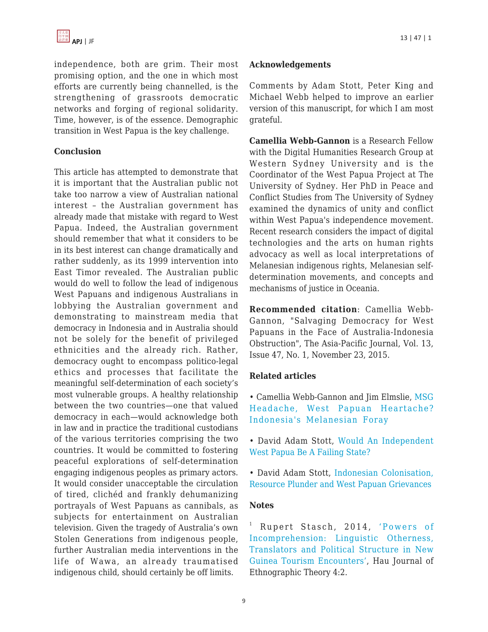independence, both are grim. Their most promising option, and the one in which most efforts are currently being channelled, is the strengthening of grassroots democratic networks and forging of regional solidarity. Time, however, is of the essence. Demographic transition in West Papua is the key challenge.

#### **Conclusion**

This article has attempted to demonstrate that it is important that the Australian public not take too narrow a view of Australian national interest – the Australian government has already made that mistake with regard to West Papua. Indeed, the Australian government should remember that what it considers to be in its best interest can change dramatically and rather suddenly, as its 1999 intervention into East Timor revealed. The Australian public would do well to follow the lead of indigenous West Papuans and indigenous Australians in lobbying the Australian government and demonstrating to mainstream media that democracy in Indonesia and in Australia should not be solely for the benefit of privileged ethnicities and the already rich. Rather, democracy ought to encompass politico-legal ethics and processes that facilitate the meaningful self-determination of each society's most vulnerable groups. A healthy relationship between the two countries—one that valued democracy in each—would acknowledge both in law and in practice the traditional custodians of the various territories comprising the two countries. It would be committed to fostering peaceful explorations of self-determination engaging indigenous peoples as primary actors. It would consider unacceptable the circulation of tired, clichéd and frankly dehumanizing portrayals of West Papuans as cannibals, as subjects for entertainment on Australian television. Given the tragedy of Australia's own Stolen Generations from indigenous people, further Australian media interventions in the life of Wawa, an already traumatised indigenous child, should certainly be off limits.

#### **Acknowledgements**

Comments by Adam Stott, Peter King and Michael Webb helped to improve an earlier version of this manuscript, for which I am most grateful.

**Camellia Webb-Gannon** is a Research Fellow with the Digital Humanities Research Group at Western Sydney University and is the Coordinator of the West Papua Project at The University of Sydney. Her PhD in Peace and Conflict Studies from The University of Sydney examined the dynamics of unity and conflict within West Papua's independence movement. Recent research considers the impact of digital technologies and the arts on human rights advocacy as well as local interpretations of Melanesian indigenous rights, Melanesian selfdetermination movements, and concepts and mechanisms of justice in Oceania.

**Recommended citation**: Camellia Webb-Gannon, "Salvaging Democracy for West Papuans in the Face of Australia-Indonesia Obstruction", The Asia-Pacific Journal, Vol. 13, Issue 47, No. 1, November 23, 2015.

#### **Related articles**

• Camellia Webb-Gannon and Jim Elmslie, [MSG](https://apjjf.org/-Camellia-Webb_Gannon/4225/article.html) [Headache, West Papuan Heartache?](https://apjjf.org/-Camellia-Webb_Gannon/4225/article.html) [Indonesia's Melanesian Foray](https://apjjf.org/-Camellia-Webb_Gannon/4225/article.html)

• David Adam Stott, [Would An Independent](https://apjjf.org/-David_Adam-Stott/3597/article.html) [West Papua Be A Failing State?](https://apjjf.org/-David_Adam-Stott/3597/article.html)

• David Adam Stott, [Indonesian Colonisation,](https://apjjf.org/-David_Adam-Stott/3499/article.html) [Resource Plunder and West Papuan Grievances](https://apjjf.org/-David_Adam-Stott/3499/article.html)

#### **Notes**

<sup>1</sup> Rupert Stasch, 2014, ['Powers of](http://www.haujournal.org/index.php/hau/article/view/hau4.2.004/1099) [Incomprehension: Linguistic Otherness,](http://www.haujournal.org/index.php/hau/article/view/hau4.2.004/1099) [Translators and Political Structure in New](http://www.haujournal.org/index.php/hau/article/view/hau4.2.004/1099) [Guinea Tourism Encounters'](http://www.haujournal.org/index.php/hau/article/view/hau4.2.004/1099), Hau Journal of Ethnographic Theory 4:2.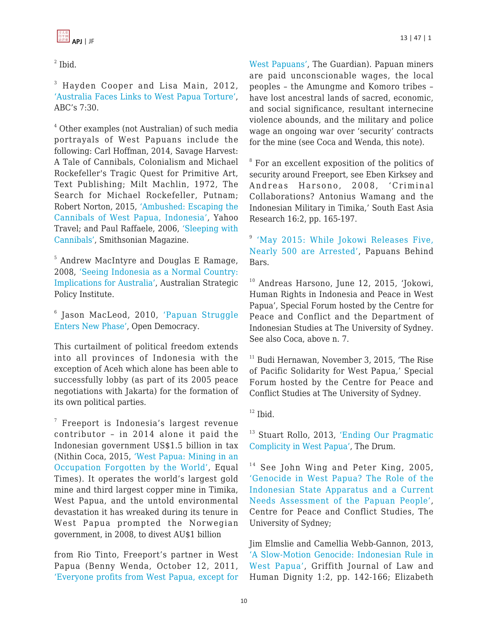

 $<sup>2</sup>$  Ibid.</sup>

<sup>3</sup> Hayden Cooper and Lisa Main, 2012, ['Australia Faces Links to West Papua Torture',](http://www.abc.net.au/7.30/content/2012/s3578010.htm) ABC's 7:30.

4 Other examples (not Australian) of such media portrayals of West Papuans include the following: Carl Hoffman, 2014, Savage Harvest: A Tale of Cannibals, Colonialism and Michael Rockefeller's Tragic Quest for Primitive Art, Text Publishing; Milt Machlin, 1972, The Search for Michael Rockefeller, Putnam; Robert Norton, 2015, ['Ambushed: Escaping the](https://www.google.com.au/url?sa=t&rct=j&q=&esrc=s&source=web&cd=1&cad=rja&uact=8&ved=0CCAQFjAAahUKEwir-ILYtfbHAhWC2qYKHUFECcg&url=https://www.yahoo.com/travel/escaping-the-cannibals-in-west-papua-109373221782.html&usg=AFQjCNGqD4CzYe3j5Jh1PgTypdorUZ87vQ&sig2=VlEwzrCvKAI8cUFP0LmAyA) [Cannibals of West Papua, Indonesia'](https://www.google.com.au/url?sa=t&rct=j&q=&esrc=s&source=web&cd=1&cad=rja&uact=8&ved=0CCAQFjAAahUKEwir-ILYtfbHAhWC2qYKHUFECcg&url=https://www.yahoo.com/travel/escaping-the-cannibals-in-west-papua-109373221782.html&usg=AFQjCNGqD4CzYe3j5Jh1PgTypdorUZ87vQ&sig2=VlEwzrCvKAI8cUFP0LmAyA), Yahoo Travel; and Paul Raffaele, 2006, ['Sleeping with](http://www.smithsonianmag.com/travel/sleeping-with-cannibals-128958913/) [Cannibals',](http://www.smithsonianmag.com/travel/sleeping-with-cannibals-128958913/) Smithsonian Magazine.

5 Andrew MacIntyre and Douglas E Ramage, 2008, ['Seeing Indonesia as a Normal Country:](https://www.aspi.org.au/publications/seeing-indonesia-as-a-normal-country-implications-for-australia) [Implications for Australia',](https://www.aspi.org.au/publications/seeing-indonesia-as-a-normal-country-implications-for-australia) Australian Strategic Policy Institute.

6 Jason MacLeod, 2010, ['Papuan Struggle](https://www.opendemocracy.net/jason-macleod/papuan-struggle-enters-new-phase) [Enters New Phase'](https://www.opendemocracy.net/jason-macleod/papuan-struggle-enters-new-phase), Open Democracy.

This curtailment of political freedom extends into all provinces of Indonesia with the exception of Aceh which alone has been able to successfully lobby (as part of its 2005 peace negotiations with Jakarta) for the formation of its own political parties.

7 Freeport is Indonesia's largest revenue contributor – in 2014 alone it paid the Indonesian government US\$1.5 billion in tax (Nithin Coca, 2015, ['West Papua: Mining in an](http://www.equaltimes.org/west-papua-mining-in-an-occupation#.VjlpPRArJE5) [Occupation Forgotten by the World'](http://www.equaltimes.org/west-papua-mining-in-an-occupation#.VjlpPRArJE5), Equal Times). It operates the world's largest gold mine and third largest copper mine in Timika, West Papua, and the untold environmental devastation it has wreaked during its tenure in West Papua prompted the Norwegian government, in 2008, to divest AU\$1 billion

from Rio Tinto, Freeport's partner in West Papua (Benny Wenda, October 12, 2011, ['Everyone profits from West Papua, except for](http://www.theguardian.com/commentisfree/2011/oct/12/west-papua-striking-miners-indonesia) [West Papuans',](http://www.theguardian.com/commentisfree/2011/oct/12/west-papua-striking-miners-indonesia) The Guardian). Papuan miners are paid unconscionable wages, the local peoples – the Amungme and Komoro tribes – have lost ancestral lands of sacred, economic, and social significance, resultant internecine violence abounds, and the military and police wage an ongoing war over 'security' contracts for the mine (see Coca and Wenda, this note).

<sup>8</sup> For an excellent exposition of the politics of security around Freeport, see Eben Kirksey and Andreas Harsono, 2008, 'Criminal Collaborations? Antonius Wamang and the Indonesian Military in Timika,' South East Asia Research 16:2, pp. 165-197.

<sup>9</sup> ['May 2015: While Jokowi Releases Five,](http://www.papuansbehindbars.org/?p=3461) [Nearly 500 are Arrested',](http://www.papuansbehindbars.org/?p=3461) Papuans Behind Bars.

 $10$  Andreas Harsono, June 12, 2015, 'Jokowi, Human Rights in Indonesia and Peace in West Papua', Special Forum hosted by the Centre for Peace and Conflict and the Department of Indonesian Studies at The University of Sydney. See also Coca, above n. 7.

 $11$  Budi Hernawan, November 3, 2015, The Rise of Pacific Solidarity for West Papua,' Special Forum hosted by the Centre for Peace and Conflict Studies at The University of Sydney.

 $12$  Ibid.

<sup>13</sup> Stuart Rollo, 2013, ['Ending Our Pragmatic](http://www.abc.net.au/news/2013-10-28/rollo-west-papua-complicity/5049204) [Complicity in West Papua'](http://www.abc.net.au/news/2013-10-28/rollo-west-papua-complicity/5049204), The Drum.

 $14$  See John Wing and Peter King, 2005, ['Genocide in West Papua? The Role of the](https://sydney.edu.au/arts/peace_conflict/docs/WestPapuaGenocideRpt05.pdf) [Indonesian State Apparatus and a Current](https://sydney.edu.au/arts/peace_conflict/docs/WestPapuaGenocideRpt05.pdf) [Needs Assessment of the Papuan People',](https://sydney.edu.au/arts/peace_conflict/docs/WestPapuaGenocideRpt05.pdf) Centre for Peace and Conflict Studies, The University of Sydney;

Jim Elmslie and Camellia Webb-Gannon, 2013, ['A Slow-Motion Genocide: Indonesian Rule in](https://www104.griffith.edu.au/index.php/gjlhd/article/view/578) [West Papua',](https://www104.griffith.edu.au/index.php/gjlhd/article/view/578) Griffith Journal of Law and Human Dignity 1:2, pp. 142-166; Elizabeth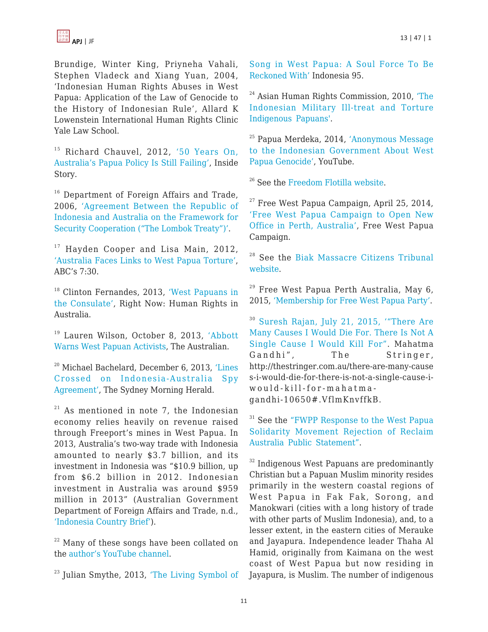

Brundige, Winter King, Priyneha Vahali, Stephen Vladeck and Xiang Yuan, 2004, 'Indonesian Human Rights Abuses in West Papua: Application of the Law of Genocide to the History of Indonesian Rule', Allard K Lowenstein International Human Rights Clinic Yale Law School.

<sup>15</sup> Richard Chauvel, 2012, ['50 Years On,](http://insidestory.org.au/fifty-years-on-australias-papua-policy-is-still-failing) [Australia's Papua Policy Is Still Failing',](http://insidestory.org.au/fifty-years-on-australias-papua-policy-is-still-failing) Inside Story.

 $16$  Department of Foreign Affairs and Trade, 2006, ['Agreement Between the Republic of](http://dfat.gov.au/geo/indonesia/pages/agreement-between-the-republic-of-indonesia-and-australia-on-the-framework-for-security-cooperation.aspx) [Indonesia and Australia on the Framework for](http://dfat.gov.au/geo/indonesia/pages/agreement-between-the-republic-of-indonesia-and-australia-on-the-framework-for-security-cooperation.aspx) [Security Cooperation \("The Lombok Treaty"\)'.](http://dfat.gov.au/geo/indonesia/pages/agreement-between-the-republic-of-indonesia-and-australia-on-the-framework-for-security-cooperation.aspx)

 $17$  Hayden Cooper and Lisa Main, 2012, ['Australia Faces Links to West Papua Torture',](http://www.abc.net.au/7.30/content/2012/s3578010.htm) ABC's 7:30.

<sup>18</sup> Clinton Fernandes, 2013, ['West Papuans in](http://rightnow.org.au/writing-cat/west-papuans-in-the-consulate/) [the Consulate'](http://rightnow.org.au/writing-cat/west-papuans-in-the-consulate/), Right Now: Human Rights in Australia.

<sup>19</sup> Lauren Wilson, October 8, 2013, ['Abbott](http://www.theaustralian.com.au/national-affairs/foreign-affairs/abbott-warns-west-papuan-activists/story-fn59nm2j-1226734347742) [Warns West Papuan Activists](http://www.theaustralian.com.au/national-affairs/foreign-affairs/abbott-warns-west-papuan-activists/story-fn59nm2j-1226734347742), The Australian.

<sup>20</sup> Michael Bachelard, December 6, 2013, ['Lines](http://www.smh.com.au/federal-politics/political-news/lines-crossed-on-indonesiaaustralia-spy-agreement-20131206-2ywaw.html) [Crossed on Indonesia-Australia Spy](http://www.smh.com.au/federal-politics/political-news/lines-crossed-on-indonesiaaustralia-spy-agreement-20131206-2ywaw.html) [Agreement'](http://www.smh.com.au/federal-politics/political-news/lines-crossed-on-indonesiaaustralia-spy-agreement-20131206-2ywaw.html), The Sydney Morning Herald.

 $21$  As mentioned in note 7, the Indonesian economy relies heavily on revenue raised through Freeport's mines in West Papua. In 2013, Australia's two-way trade with Indonesia amounted to nearly \$3.7 billion, and its investment in Indonesia was "\$10.9 billion, up from \$6.2 billion in 2012. Indonesian investment in Australia was around \$959 million in 2013" (Australian Government Department of Foreign Affairs and Trade, n.d., ['Indonesia Country Brief'](http://dfat.gov.au/geo/indonesia/pages/indonesia-country-brief.aspx)).

 $22$  Many of these songs have been collated on the [author's YouTube channel.](https://www.youtube.com/watch?v=yJ5yHzwMlsY&list=PL9Pl_K2p0lMOfeaocdwSbkZ2pydp6XeQu)

<sup>23</sup> Julian Smythe, 2013, ['The Living Symbol of](http://cip.cornell.edu/DPubS?service=UI&version=1.0&verb=Display&handle=seap.indo/1370968386)

[Song in West Papua: A Soul Force To Be](http://cip.cornell.edu/DPubS?service=UI&version=1.0&verb=Display&handle=seap.indo/1370968386) [Reckoned With'](http://cip.cornell.edu/DPubS?service=UI&version=1.0&verb=Display&handle=seap.indo/1370968386) Indonesia 95.

<sup>24</sup> Asian Human Rights Commission, 2010, ['The](http://video.ahrchk.net/AHRC-VID-012-2010-Indonesia.html) [Indonesian Military Ill-treat and Torture](http://video.ahrchk.net/AHRC-VID-012-2010-Indonesia.html) [Indigenous Papuans'.](http://video.ahrchk.net/AHRC-VID-012-2010-Indonesia.html)

<sup>25</sup> Papua Merdeka, 2014, ['Anonymous Message](https://www.youtube.com/watch?v=hOVKJRYQpAg) [to the Indonesian Government About West](https://www.youtube.com/watch?v=hOVKJRYQpAg) [Papua Genocide',](https://www.youtube.com/watch?v=hOVKJRYQpAg) YouTube.

<sup>26</sup> See the [Freedom Flotilla website](http://freedomflotillawestpapua.org/).

 $27$  Free West Papua Campaign, April 25, 2014, ['Free West Papua Campaign to Open New](http://freewestpapua.org/2014/04/25/fwpc-office-to-open-in-perth-australia/) [Office in Perth, Australia',](http://freewestpapua.org/2014/04/25/fwpc-office-to-open-in-perth-australia/) Free West Papua Campaign.

<sup>28</sup> See the [Biak Massacre Citizens Tribunal](http://www.biak-tribunal.org/) [website](http://www.biak-tribunal.org/).

 $29$  Free West Papua Perth Australia, May 6, 2015, ['Membership for Free West Papua Party'.](http://freewestpapuaperthaustralia.blogspot.com.au/2015/05/the-free-west-papua-game-changer.html)

<sup>30</sup> [Suresh Rajan, July 21, 2015, '"There Are](https://drive.google.com/file/d/0B27n3cmOkqI4TkVwTk1LTC1UUUk/view) [Many Causes I Would Die For. There Is Not A](https://drive.google.com/file/d/0B27n3cmOkqI4TkVwTk1LTC1UUUk/view) [Single Cause I Would Kill For"](https://drive.google.com/file/d/0B27n3cmOkqI4TkVwTk1LTC1UUUk/view). Mahatma Gandhi", The Stringer, http://thestringer.com.au/there-are-many-cause s-i-would-die-for-there-is-not-a-single-cause-iwould-kill-for-mahatmagandhi-10650#.VflmKnvffkB.

<sup>31</sup> See the ["FWPP Response to the West Papua](https://drive.google.com/file/d/0B27n3cmOkqI4OUQ3WTZyc0syU28/view) [Solidarity Movement Rejection of Reclaim](https://drive.google.com/file/d/0B27n3cmOkqI4OUQ3WTZyc0syU28/view) [Australia Public Statement".](https://drive.google.com/file/d/0B27n3cmOkqI4OUQ3WTZyc0syU28/view)

<sup>32</sup> Indigenous West Papuans are predominantly Christian but a Papuan Muslim minority resides primarily in the western coastal regions of West Papua in Fak Fak, Sorong, and Manokwari (cities with a long history of trade with other parts of Muslim Indonesia), and, to a lesser extent, in the eastern cities of Merauke and Jayapura. Independence leader Thaha Al Hamid, originally from Kaimana on the west coast of West Papua but now residing in Jayapura, is Muslim. The number of indigenous